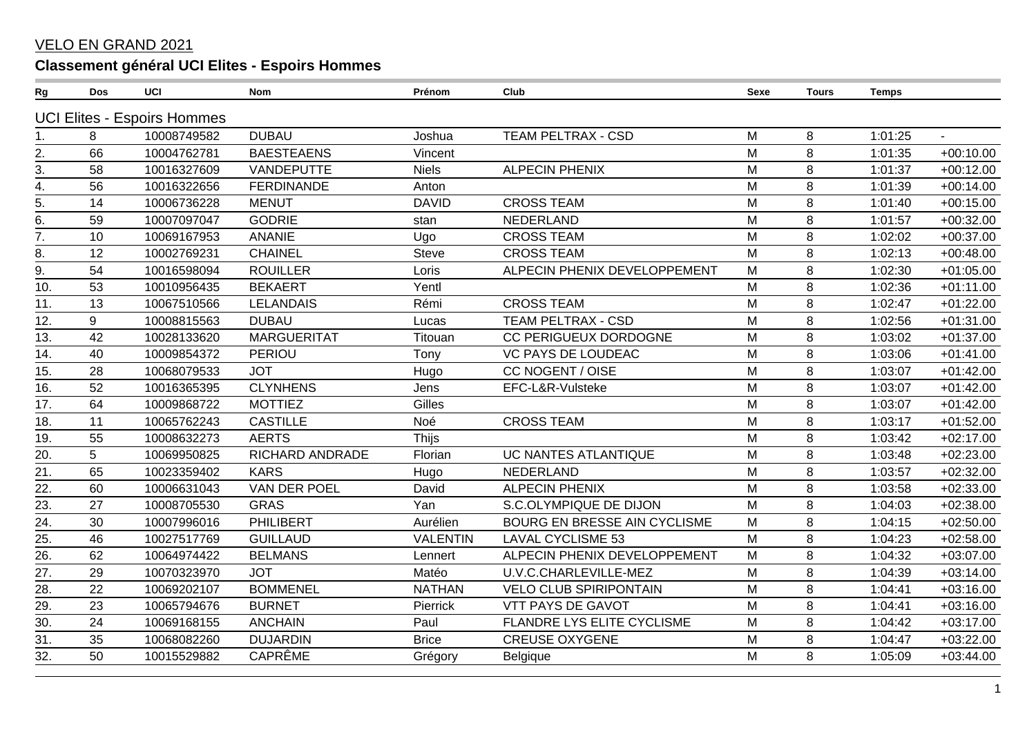## **VELO EN GRAND 2021**

## Classement général UCI Elites - Espoirs Hommes

| Rg                | Dos | UCI                                | <b>Nom</b>         | Prénom          | Club                          | <b>Sexe</b> | <b>Tours</b> | <b>Temps</b> |             |
|-------------------|-----|------------------------------------|--------------------|-----------------|-------------------------------|-------------|--------------|--------------|-------------|
|                   |     | <b>UCI Elites - Espoirs Hommes</b> |                    |                 |                               |             |              |              |             |
| 1.                | 8   | 10008749582                        | <b>DUBAU</b>       | Joshua          | <b>TEAM PELTRAX - CSD</b>     | M           | 8            | 1:01:25      | $\sim$      |
| 2.                | 66  | 10004762781                        | <b>BAESTEAENS</b>  | Vincent         |                               | M           | 8            | 1:01:35      | $+00:10.00$ |
| $\overline{3}$ .  | 58  | 10016327609                        | VANDEPUTTE         | <b>Niels</b>    | <b>ALPECIN PHENIX</b>         | M           | 8            | 1:01:37      | $+00:12.00$ |
| $\overline{4}$ .  | 56  | 10016322656                        | <b>FERDINANDE</b>  | Anton           |                               | M           | 8            | 1:01:39      | $+00:14.00$ |
| $\overline{5}$ .  | 14  | 10006736228                        | <b>MENUT</b>       | <b>DAVID</b>    | <b>CROSS TEAM</b>             | M           | 8            | 1:01:40      | $+00:15.00$ |
| $\overline{6}$ .  | 59  | 10007097047                        | <b>GODRIE</b>      | stan            | NEDERLAND                     | M           | 8            | 1:01:57      | $+00:32.00$ |
| 7.                | 10  | 10069167953                        | <b>ANANIE</b>      | Ugo             | <b>CROSS TEAM</b>             | M           | 8            | 1:02:02      | $+00:37.00$ |
| 8.                | 12  | 10002769231                        | <b>CHAINEL</b>     | <b>Steve</b>    | <b>CROSS TEAM</b>             | M           | 8            | 1:02:13      | $+00:48.00$ |
| $\overline{9}$ .  | 54  | 10016598094                        | <b>ROUILLER</b>    | Loris           | ALPECIN PHENIX DEVELOPPEMENT  | M           | 8            | 1:02:30      | $+01:05.00$ |
| 10.               | 53  | 10010956435                        | <b>BEKAERT</b>     | Yentl           |                               | M           | 8            | 1:02:36      | $+01:11.00$ |
| $\overline{11}$ . | 13  | 10067510566                        | <b>LELANDAIS</b>   | Rémi            | <b>CROSS TEAM</b>             | M           | 8            | 1:02:47      | $+01:22.00$ |
| 12.               | 9   | 10008815563                        | <b>DUBAU</b>       | Lucas           | <b>TEAM PELTRAX - CSD</b>     | M           | 8            | 1:02:56      | $+01:31.00$ |
| 13.               | 42  | 10028133620                        | <b>MARGUERITAT</b> | Titouan         | CC PERIGUEUX DORDOGNE         | M           | 8            | 1:03:02      | $+01:37.00$ |
| 14.               | 40  | 10009854372                        | <b>PERIOU</b>      | Tony            | VC PAYS DE LOUDEAC            | M           | 8            | 1:03:06      | $+01:41.00$ |
| 15.               | 28  | 10068079533                        | <b>JOT</b>         | Hugo            | CC NOGENT / OISE              | M           | 8            | 1:03:07      | $+01:42.00$ |
| 16.               | 52  | 10016365395                        | <b>CLYNHENS</b>    | Jens            | EFC-L&R-Vulsteke              | M           | 8            | 1:03:07      | $+01:42.00$ |
| 17.               | 64  | 10009868722                        | <b>MOTTIEZ</b>     | Gilles          |                               | M           | 8            | 1:03:07      | $+01:42.00$ |
| 18.               | 11  | 10065762243                        | <b>CASTILLE</b>    | Noé             | <b>CROSS TEAM</b>             | M           | 8            | 1:03:17      | $+01:52.00$ |
| 19.               | 55  | 10008632273                        | <b>AERTS</b>       | Thijs           |                               | M           | 8            | 1:03:42      | $+02:17.00$ |
| 20.               | 5   | 10069950825                        | RICHARD ANDRADE    | Florian         | UC NANTES ATLANTIQUE          | M           | 8            | 1:03:48      | $+02:23.00$ |
| $\overline{21}$ . | 65  | 10023359402                        | <b>KARS</b>        | Hugo            | NEDERLAND                     | M           | 8            | 1:03:57      | $+02:32.00$ |
| 22.               | 60  | 10006631043                        | VAN DER POEL       | David           | <b>ALPECIN PHENIX</b>         | M           | 8            | 1:03:58      | $+02:33.00$ |
| 23.               | 27  | 10008705530                        | <b>GRAS</b>        | Yan             | S.C.OLYMPIQUE DE DIJON        | M           | 8            | 1:04:03      | $+02:38.00$ |
| $\overline{24}$ . | 30  | 10007996016                        | PHILIBERT          | Aurélien        | BOURG EN BRESSE AIN CYCLISME  | M           | 8            | 1:04:15      | $+02:50.00$ |
| $\overline{25}$   | 46  | 10027517769                        | <b>GUILLAUD</b>    | <b>VALENTIN</b> | <b>LAVAL CYCLISME 53</b>      | M           | 8            | 1:04:23      | $+02:58.00$ |
| 26.               | 62  | 10064974422                        | <b>BELMANS</b>     | Lennert         | ALPECIN PHENIX DEVELOPPEMENT  | M           | 8            | 1:04:32      | $+03:07.00$ |
| 27.               | 29  | 10070323970                        | <b>JOT</b>         | Matéo           | U.V.C.CHARLEVILLE-MEZ         | M           | 8            | 1:04:39      | $+03:14.00$ |
| $\overline{28}$ . | 22  | 10069202107                        | <b>BOMMENEL</b>    | <b>NATHAN</b>   | <b>VELO CLUB SPIRIPONTAIN</b> | M           | 8            | 1:04:41      | $+03:16.00$ |
| 29.               | 23  | 10065794676                        | <b>BURNET</b>      | Pierrick        | VTT PAYS DE GAVOT             | M           | 8            | 1:04:41      | $+03:16.00$ |
| $\overline{30}$ . | 24  | 10069168155                        | <b>ANCHAIN</b>     | Paul            | FLANDRE LYS ELITE CYCLISME    | M           | 8            | 1:04:42      | $+03:17.00$ |
| $\overline{31}$ . | 35  | 10068082260                        | <b>DUJARDIN</b>    | <b>Brice</b>    | <b>CREUSE OXYGENE</b>         | M           | 8            | 1:04:47      | $+03:22.00$ |
| 32.               | 50  | 10015529882                        | CAPRÊME            | Grégory         | Belgique                      | M           | 8            | 1:05:09      | $+03:44.00$ |